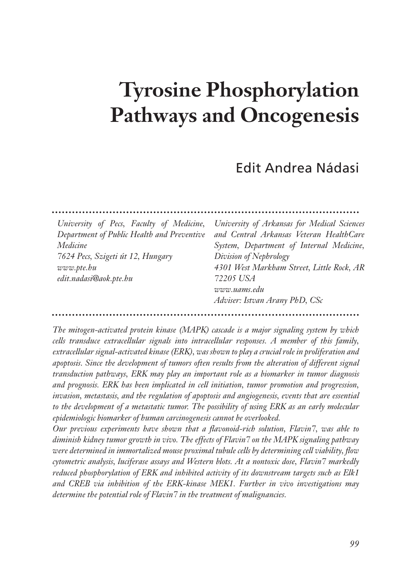# **Tyrosine Phosphorylation Pathways and Oncogenesis**

## Edit Andrea Nádasi

| University of Pecs, Faculty of Medicine,<br>Department of Public Health and Preventive<br>Medicine<br>7624 Pecs, Szigeti út 12, Hungary<br>www. pte. bu<br>edit.nadasi@aok.pte.hu | University of Arkansas for Medical Sciences<br>and Central Arkansas Veteran HealthCare<br>System, Department of Internal Medicine,<br>Division of Nephrology<br>4301 West Markham Street, Little Rock, AR<br>72205 USA<br>www.uams.edu<br>Adviser: Istvan Arany PhD, CSc |
|-----------------------------------------------------------------------------------------------------------------------------------------------------------------------------------|--------------------------------------------------------------------------------------------------------------------------------------------------------------------------------------------------------------------------------------------------------------------------|
|                                                                                                                                                                                   |                                                                                                                                                                                                                                                                          |

*The mitogen-activated protein kinase (MAPK) cascade is a major signaling system by which cells transduce extracellular signals into intracellular responses. A member of this family, extracellular signal-activated kinase (ERK), was shown to play a crucial role in proliferation and apoptosis. Since the development of tumors often results from the alteration of different signal transduction pathways, ERK may play an important role as a biomarker in tumor diagnosis and prognosis. ERK has been implicated in cell initiation, tumor promotion and progression, invasion, metastasis, and the regulation of apoptosis and angiogenesis, events that are essential to the development of a metastatic tumor. The possibility of using ERK as an early molecular epidemiologic biomarker of human carcinogenesis cannot be overlooked.*

*Our previous experiments have shown that a flavonoid-rich solution, Flavin7, was able to diminish kidney tumor growth in vivo. The effects of Flavin7 on the MAPK signaling pathway were determined in immortalized mouse proximal tubule cells by determining cell viability, flow cytometric analysis, luciferase assays and Western blots. At a nontoxic dose, Flavin7 markedly reduced phosphorylation of ERK and inhibited activity of its downstream targets such as Elk1 and CREB via inhibition of the ERK-kinase MEK1. Further in vivo investigations may determine the potential role of Flavin7 in the treatment of malignancies.*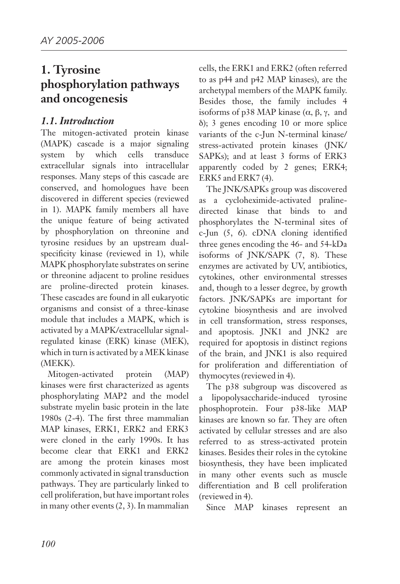## **1. Tyrosine phosphorylation pathways and oncogenesis**

#### *1.1. Introduction*

The mitogen-activated protein kinase (MAPK) cascade is a major signaling system by which cells transduce extracellular signals into intracellular responses. Many steps of this cascade are conserved, and homologues have been discovered in different species (reviewed in 1). MAPK family members all have the unique feature of being activated by phosphorylation on threonine and tyrosine residues by an upstream dualspecificity kinase (reviewed in 1), while MAPK phosphorylate substrates on serine or threonine adjacent to proline residues are proline-directed protein kinases. These cascades are found in all eukaryotic organisms and consist of a three-kinase module that includes a MAPK, which is activated by a MAPK/extracellular signalregulated kinase (ERK) kinase (MEK), which in turn is activated by a MEK kinase (MEKK).

Mitogen-activated protein (MAP) kinases were first characterized as agents phosphorylating MAP2 and the model substrate myelin basic protein in the late 1980s (2-4). The first three mammalian MAP kinases, ERK1, ERK2 and ERK3 were cloned in the early 1990s. It has become clear that ERK1 and ERK2 are among the protein kinases most commonly activated in signal transduction pathways. They are particularly linked to cell proliferation, but have important roles in many other events (2, 3). In mammalian

cells, the ERK1 and ERK2 (often referred to as p44 and p42 MAP kinases), are the archetypal members of the MAPK family. Besides those, the family includes 4 isoforms of p38 MAP kinase  $(α, β, γ, and)$ δ); 3 genes encoding 10 or more splice variants of the c-Jun N-terminal kinase/ stress-activated protein kinases (JNK/ SAPKs); and at least 3 forms of ERK3 apparently coded by 2 genes; ERK4; ERK5 and ERK7 (4).

The JNK/SAPKs group was discovered as a cycloheximide-activated pralinedirected kinase that binds to and phosphorylates the N-terminal sites of c-Jun (5, 6). cDNA cloning identified three genes encoding the 46- and 54-kDa isoforms of JNK/SAPK (7, 8). These enzymes are activated by UV, antibiotics, cytokines, other environmental stresses and, though to a lesser degree, by growth factors. JNK/SAPKs are important for cytokine biosynthesis and are involved in cell transformation, stress responses, and apoptosis. JNK1 and JNK2 are required for apoptosis in distinct regions of the brain, and JNK1 is also required for proliferation and differentiation of thymocytes (reviewed in 4).

The p38 subgroup was discovered as a lipopolysaccharide-induced tyrosine phosphoprotein. Four p38-like MAP kinases are known so far. They are often activated by cellular stresses and are also referred to as stress-activated protein kinases. Besides their roles in the cytokine biosynthesis, they have been implicated in many other events such as muscle differentiation and B cell proliferation (reviewed in 4).

Since MAP kinases represent an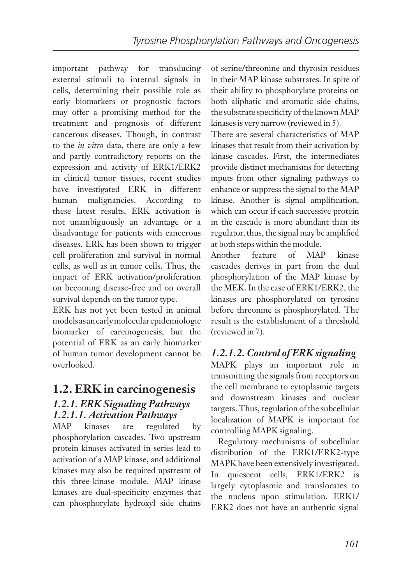important pathway for transducing external stimuli to internal signals in cells, determining their possible role as early biomarkers or prognostic factors may offer a promising method for the treatment and prognosis of different cancerous diseases. Though, in contrast to the *in vitro* data, there are only a few and partly contradictory reports on the expression and activity of ERK1/ERK2 in clinical tumor tissues, recent studies have investigated ERK in different human malignancies. According to these latest results, ERK activation is not unambiguously an advantage or a disadvantage for patients with cancerous diseases. ERK has been shown to trigger cell proliferation and survival in normal cells, as well as in tumor cells. Thus, the impact of ERK activation/proliferation on becoming disease-free and on overall survival depends on the tumor type.

ERK has not yet been tested in animal models as an early molecular epidemiologic biomarker of carcinogenesis, but the potential of ERK as an early biomarker of human tumor development cannot be overlooked.

## **1.2. ERK in carcinogenesis**

#### *1.2.1. ERK Signaling Pathways 1.2.1.1. Activation Pathways*

MAP kinases are regulated by phosphorylation cascades. Two upstream protein kinases activated in series lead to activation of a MAP kinase, and additional kinases may also be required upstream of this three-kinase module. MAP kinase kinases are dual-specificity enzymes that can phosphorylate hydroxyl side chains

of serine/threonine and thyrosin residues in their MAP kinase substrates. In spite of their ability to phosphorylate proteins on both aliphatic and aromatic side chains, the substrate specificity of the known MAP kinases is very narrow (reviewed in 5).

There are several characteristics of MAP kinases that result from their activation by kinase cascades. First, the intermediates provide distinct mechanisms for detecting inputs from other signaling pathways to enhance or suppress the signal to the MAP kinase. Another is signal amplification, which can occur if each successive protein in the cascade is more abundant than its regulator, thus, the signal may be amplified at both steps within the module.

Another feature of MAP kinase cascades derives in part from the dual phosphorylation of the MAP kinase by the MEK. In the case of ERK1/ERK2, the kinases are phosphorylated on tyrosine before threonine is phosphorylated. The result is the establishment of a threshold (reviewed in 7).

#### *1.2.1.2. Control of ERK signaling*

MAPK plays an important role in transmitting the signals from receptors on the cell membrane to cytoplasmic targets and downstream kinases and nuclear targets. Thus, regulation of the subcellular localization of MAPK is important for controlling MAPK signaling.

Regulatory mechanisms of subcellular distribution of the ERK1/ERK2-type MAPK have been extensively investigated. In quiescent cells, ERK1/ERK2 is largely cytoplasmic and translocates to the nucleus upon stimulation. ERK1/ ERK2 does not have an authentic signal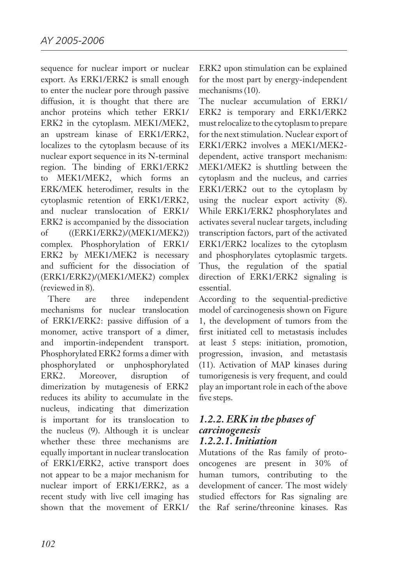sequence for nuclear import or nuclear export. As ERK1/ERK2 is small enough to enter the nuclear pore through passive diffusion, it is thought that there are anchor proteins which tether ERK1/ ERK2 in the cytoplasm. MEK1/MEK2, an upstream kinase of ERK1/ERK2, localizes to the cytoplasm because of its nuclear export sequence in its N-terminal region. The binding of ERK1/ERK2 to MEK1/MEK2, which forms an ERK/MEK heterodimer, results in the cytoplasmic retention of ERK1/ERK2, and nuclear translocation of ERK1/ ERK2 is accompanied by the dissociation of ((ERK1/ERK2)/(MEK1/MEK2)) complex. Phosphorylation of ERK1/ ERK2 by MEK1/MEK2 is necessary and sufficient for the dissociation of (ERK1/ERK2)/(MEK1/MEK2) complex (reviewed in 8).

There are three independent mechanisms for nuclear translocation of ERK1/ERK2: passive diffusion of a monomer, active transport of a dimer, and importin-independent transport. Phosphorylated ERK2 forms a dimer with phosphorylated or unphosphorylated ERK2. Moreover, disruption of dimerization by mutagenesis of ERK2 reduces its ability to accumulate in the nucleus, indicating that dimerization is important for its translocation to the nucleus (9). Although it is unclear whether these three mechanisms are equally important in nuclear translocation of ERK1/ERK2, active transport does not appear to be a major mechanism for nuclear import of ERK1/ERK2, as a recent study with live cell imaging has shown that the movement of ERK1/

ERK2 upon stimulation can be explained for the most part by energy-independent mechanisms (10).

The nuclear accumulation of ERK1/ ERK2 is temporary and ERK1/ERK2 must relocalize to the cytoplasm to prepare for the next stimulation. Nuclear export of ERK1/ERK2 involves a MEK1/MEK2 dependent, active transport mechanism: MEK1/MEK2 is shuttling between the cytoplasm and the nucleus, and carries ERK1/ERK2 out to the cytoplasm by using the nuclear export activity (8). While ERK1/ERK2 phosphorylates and activates several nuclear targets, including transcription factors, part of the activated ERK1/ERK2 localizes to the cytoplasm and phosphorylates cytoplasmic targets. Thus, the regulation of the spatial direction of ERK1/ERK2 signaling is essential.

According to the sequential-predictive model of carcinogenesis shown on Figure 1, the development of tumors from the first initiated cell to metastasis includes at least 5 steps: initiation, promotion, progression, invasion, and metastasis (11). Activation of MAP kinases during tumorigenesis is very frequent, and could play an important role in each of the above five steps.

#### *1.2.2. ERK in the phases of carcinogenesis 1.2.2.1. Initiation*

Mutations of the Ras family of protooncogenes are present in 30% of human tumors, contributing to the development of cancer. The most widely studied effectors for Ras signaling are the Raf serine/threonine kinases. Ras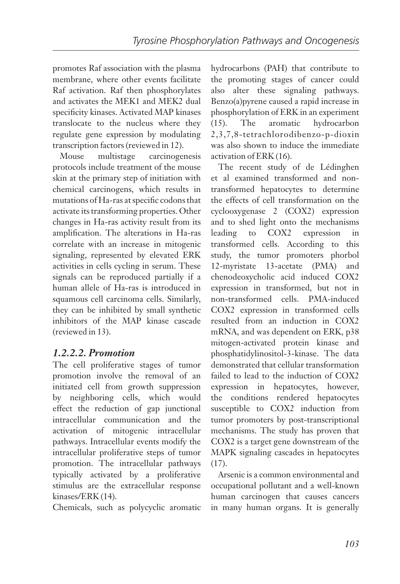promotes Raf association with the plasma membrane, where other events facilitate Raf activation. Raf then phosphorylates and activates the MEK1 and MEK2 dual specificity kinases. Activated MAP kinases translocate to the nucleus where they regulate gene expression by modulating transcription factors (reviewed in 12).

Mouse multistage carcinogenesis protocols include treatment of the mouse skin at the primary step of initiation with chemical carcinogens, which results in mutations of Ha-ras at specific codons that activate its transforming properties. Other changes in Ha-ras activity result from its amplification. The alterations in Ha-ras correlate with an increase in mitogenic signaling, represented by elevated ERK activities in cells cycling in serum. These signals can be reproduced partially if a human allele of Ha-ras is introduced in squamous cell carcinoma cells. Similarly, they can be inhibited by small synthetic inhibitors of the MAP kinase cascade (reviewed in 13).

#### *1.2.2.2. Promotion*

The cell proliferative stages of tumor promotion involve the removal of an initiated cell from growth suppression by neighboring cells, which would effect the reduction of gap junctional intracellular communication and the activation of mitogenic intracellular pathways. Intracellular events modify the intracellular proliferative steps of tumor promotion. The intracellular pathways typically activated by a proliferative stimulus are the extracellular response kinases/ERK (14).

Chemicals, such as polycyclic aromatic

hydrocarbons (PAH) that contribute to the promoting stages of cancer could also alter these signaling pathways. Benzo(a)pyrene caused a rapid increase in phosphorylation of ERK in an experiment (15). The aromatic hydrocarbon 2,3,7,8-tetrachlorodibenzo-p-dioxin was also shown to induce the immediate activation of ERK (16).

The recent study of de Lédinghen et al examined transformed and nontransformed hepatocytes to determine the effects of cell transformation on the cyclooxygenase 2 (COX2) expression and to shed light onto the mechanisms leading to COX2 expression in transformed cells. According to this study, the tumor promoters phorbol 12-myristate 13-acetate (PMA) and chenodeoxycholic acid induced COX2 expression in transformed, but not in non-transformed cells. PMA-induced COX2 expression in transformed cells resulted from an induction in COX2 mRNA, and was dependent on ERK, p38 mitogen-activated protein kinase and phosphatidylinositol-3-kinase. The data demonstrated that cellular transformation failed to lead to the induction of COX2 expression in hepatocytes, however, the conditions rendered hepatocytes susceptible to COX2 induction from tumor promoters by post-transcriptional mechanisms. The study has proven that COX2 is a target gene downstream of the MAPK signaling cascades in hepatocytes  $(17)$ .

Arsenic is a common environmental and occupational pollutant and a well-known human carcinogen that causes cancers in many human organs. It is generally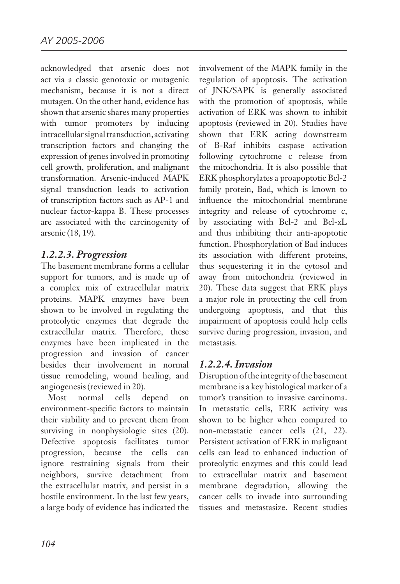acknowledged that arsenic does not act via a classic genotoxic or mutagenic mechanism, because it is not a direct mutagen. On the other hand, evidence has shown that arsenic shares many properties with tumor promoters by inducing intracellular signal transduction, activating transcription factors and changing the expression of genes involved in promoting cell growth, proliferation, and malignant transformation. Arsenic-induced MAPK signal transduction leads to activation of transcription factors such as AP-1 and nuclear factor-kappa B. These processes are associated with the carcinogenity of arsenic (18, 19).

#### *1.2.2.3. Progression*

The basement membrane forms a cellular support for tumors, and is made up of a complex mix of extracellular matrix proteins. MAPK enzymes have been shown to be involved in regulating the proteolytic enzymes that degrade the extracellular matrix. Therefore, these enzymes have been implicated in the progression and invasion of cancer besides their involvement in normal tissue remodeling, wound healing, and angiogenesis (reviewed in 20).

Most normal cells depend on environment-specific factors to maintain their viability and to prevent them from surviving in nonphysiologic sites (20). Defective apoptosis facilitates tumor progression, because the cells can ignore restraining signals from their neighbors, survive detachment from the extracellular matrix, and persist in a hostile environment. In the last few years, a large body of evidence has indicated the

involvement of the MAPK family in the regulation of apoptosis. The activation of JNK/SAPK is generally associated with the promotion of apoptosis, while activation of ERK was shown to inhibit apoptosis (reviewed in 20). Studies have shown that ERK acting downstream of B-Raf inhibits caspase activation following cytochrome c release from the mitochondria. It is also possible that ERK phosphorylates a proapoptotic Bcl-2 family protein, Bad, which is known to influence the mitochondrial membrane integrity and release of cytochrome c, by associating with Bcl-2 and Bcl-xL and thus inhibiting their anti-apoptotic function. Phosphorylation of Bad induces its association with different proteins, thus sequestering it in the cytosol and away from mitochondria (reviewed in 20). These data suggest that ERK plays a major role in protecting the cell from undergoing apoptosis, and that this impairment of apoptosis could help cells survive during progression, invasion, and metastasis.

#### *1.2.2.4. Invasion*

Disruption of the integrity of the basement membrane is a key histological marker of a tumor's transition to invasive carcinoma. In metastatic cells, ERK activity was shown to be higher when compared to non-metastatic cancer cells (21, 22). Persistent activation of ERK in malignant cells can lead to enhanced induction of proteolytic enzymes and this could lead to extracellular matrix and basement membrane degradation, allowing the cancer cells to invade into surrounding tissues and metastasize. Recent studies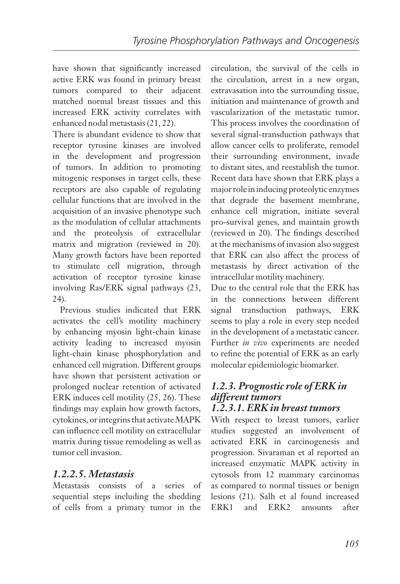have shown that significantly increased active ERK was found in primary breast tumors compared to their adjacent matched normal breast tissues and this increased ERK activity correlates with enhanced nodal metastasis (21, 22).

There is abundant evidence to show that receptor tyrosine kinases are involved in the development and progression of tumors. In addition to promoting mitogenic responses in target cells, these receptors are also capable of regulating cellular functions that are involved in the acquisition of an invasive phenotype such as the modulation of cellular attachments and the proteolysis of extracellular matrix and migration (reviewed in 20). Many growth factors have been reported to stimulate cell migration, through activation of receptor tyrosine kinase involving Ras/ERK signal pathways (23, 24).

Previous studies indicated that ERK activates the cell's motility machinery by enhancing myosin light-chain kinase activity leading to increased myosin light-chain kinase phosphorylation and enhanced cell migration. Different groups have shown that persistent activation or prolonged nuclear retention of activated ERK induces cell motility (25, 26). These findings may explain how growth factors, cytokines, or integrins that activate MAPK can influence cell motility on extracellular matrix during tissue remodeling as well as tumor cell invasion.

#### *1.2.2.5. Metastasis*

Metastasis consists of a series of sequential steps including the shedding of cells from a primary tumor in the

circulation, the survival of the cells in the circulation, arrest in a new organ, extravasation into the surrounding tissue, initiation and maintenance of growth and vascularization of the metastatic tumor. This process involves the coordination of several signal-transduction pathways that allow cancer cells to proliferate, remodel their surrounding environment, invade to distant sites, and reestablish the tumor. Recent data have shown that ERK plays a major role in inducing proteolytic enzymes that degrade the basement membrane, enhance cell migration, initiate several pro-survival genes, and maintain growth (reviewed in 20). The findings described at the mechanisms of invasion also suggest that ERK can also affect the process of metastasis by direct activation of the intracellular motility machinery.

Due to the central role that the ERK has in the connections between different signal transduction pathways, ERK seems to play a role in every step needed in the development of a metastatic cancer. Further *in vivo* experiments are needed to refine the potential of ERK as an early molecular epidemiologic biomarker.

#### *1.2.3. Prognostic role of ERK in different tumors 1.2.3.1. ERK in breast tumors*

With respect to breast tumors, earlier studies suggested an involvement of activated ERK in carcinogenesis and progression. Sivaraman et al reported an increased enzymatic MAPK activity in cytosols from 12 mammary carcinomas as compared to normal tissues or benign lesions (21). Salh et al found increased ERK1 and ERK2 amounts after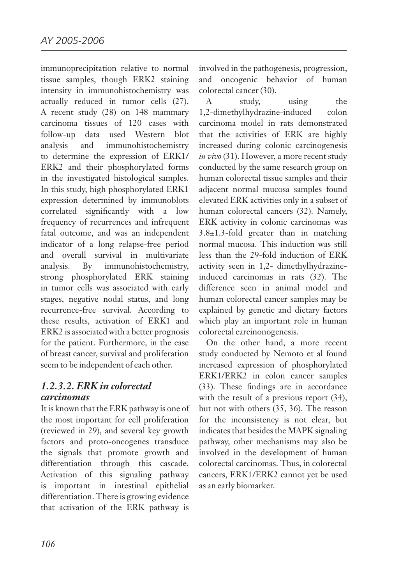immunoprecipitation relative to normal tissue samples, though ERK2 staining intensity in immunohistochemistry was actually reduced in tumor cells (27). A recent study (28) on 148 mammary carcinoma tissues of 120 cases with follow-up data used Western blot analysis and immunohistochemistry to determine the expression of ERK1/ ERK2 and their phosphorylated forms in the investigated histological samples. In this study, high phosphorylated ERK1 expression determined by immunoblots correlated significantly with a low frequency of recurrences and infrequent fatal outcome, and was an independent indicator of a long relapse-free period and overall survival in multivariate analysis. By immunohistochemistry, strong phosphorylated ERK staining in tumor cells was associated with early stages, negative nodal status, and long recurrence-free survival. According to these results, activation of ERK1 and ERK2 is associated with a better prognosis for the patient. Furthermore, in the case of breast cancer, survival and proliferation seem to be independent of each other.

#### *1.2.3.2. ERK in colorectal carcinomas*

It is known that the ERK pathway is one of the most important for cell proliferation (reviewed in 29), and several key growth factors and proto-oncogenes transduce the signals that promote growth and differentiation through this cascade. Activation of this signaling pathway is important in intestinal epithelial differentiation. There is growing evidence that activation of the ERK pathway is

involved in the pathogenesis, progression, and oncogenic behavior of human colorectal cancer (30).

A study, using the 1,2-dimethylhydrazine-induced colon carcinoma model in rats demonstrated that the activities of ERK are highly increased during colonic carcinogenesis *in vivo* (31). However, a more recent study conducted by the same research group on human colorectal tissue samples and their adjacent normal mucosa samples found elevated ERK activities only in a subset of human colorectal cancers (32). Namely, ERK activity in colonic carcinomas was 3.8±1.3-fold greater than in matching normal mucosa. This induction was still less than the 29-fold induction of ERK activity seen in 1,2- dimethylhydrazineinduced carcinomas in rats (32). The difference seen in animal model and human colorectal cancer samples may be explained by genetic and dietary factors which play an important role in human colorectal carcinonogenesis.

On the other hand, a more recent study conducted by Nemoto et al found increased expression of phosphorylated ERK1/ERK2 in colon cancer samples (33). These findings are in accordance with the result of a previous report  $(34)$ , but not with others (35, 36). The reason for the inconsistency is not clear, but indicates that besides the MAPK signaling pathway, other mechanisms may also be involved in the development of human colorectal carcinomas. Thus, in colorectal cancers, ERK1/ERK2 cannot yet be used as an early biomarker.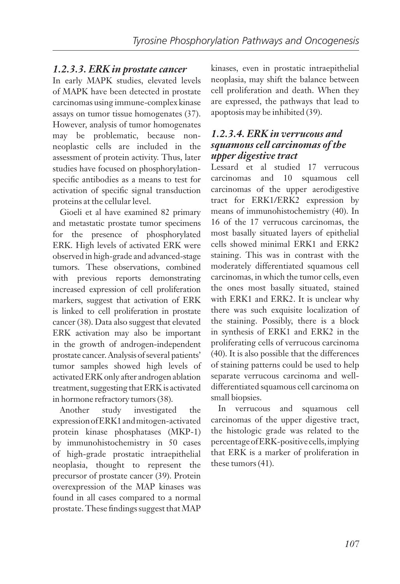#### *1.2.3.3. ERK in prostate cancer*

In early MAPK studies, elevated levels of MAPK have been detected in prostate carcinomas using immune-complex kinase assays on tumor tissue homogenates (37). However, analysis of tumor homogenates may be problematic, because nonneoplastic cells are included in the assessment of protein activity. Thus, later studies have focused on phosphorylationspecific antibodies as a means to test for activation of specific signal transduction proteins at the cellular level.

Gioeli et al have examined 82 primary and metastatic prostate tumor specimens for the presence of phosphorylated ERK. High levels of activated ERK were observed in high-grade and advanced-stage tumors. These observations, combined with previous reports demonstrating increased expression of cell proliferation markers, suggest that activation of ERK is linked to cell proliferation in prostate cancer (38). Data also suggest that elevated ERK activation may also be important in the growth of androgen-independent prostate cancer. Analysis of several patients' tumor samples showed high levels of activated ERK only after androgen ablation treatment, suggesting that ERK is activated in hormone refractory tumors (38).

Another study investigated the expression of ERK1 and mitogen-activated protein kinase phosphatases (MKP-1) by immunohistochemistry in 50 cases of high-grade prostatic intraepithelial neoplasia, thought to represent the precursor of prostate cancer (39). Protein overexpression of the MAP kinases was found in all cases compared to a normal prostate. These findings suggest that MAP

kinases, even in prostatic intraepithelial neoplasia, may shift the balance between cell proliferation and death. When they are expressed, the pathways that lead to apoptosis may be inhibited (39).

#### *1.2.3.4. ERK in verrucous and squamous cell carcinomas of the upper digestive tract*

Lessard et al studied 17 verrucous carcinomas and 10 squamous cell carcinomas of the upper aerodigestive tract for ERK1/ERK2 expression by means of immunohistochemistry (40). In 16 of the 17 verrucous carcinomas, the most basally situated layers of epithelial cells showed minimal ERK1 and ERK2 staining. This was in contrast with the moderately differentiated squamous cell carcinomas, in which the tumor cells, even the ones most basally situated, stained with ERK1 and ERK2. It is unclear why there was such exquisite localization of the staining. Possibly, there is a block in synthesis of ERK1 and ERK2 in the proliferating cells of verrucous carcinoma (40). It is also possible that the differences of staining patterns could be used to help separate verrucous carcinoma and welldifferentiated squamous cell carcinoma on small biopsies.

In verrucous and squamous cell carcinomas of the upper digestive tract, the histologic grade was related to the percentage of ERK-positive cells, implying that ERK is a marker of proliferation in these tumors (41).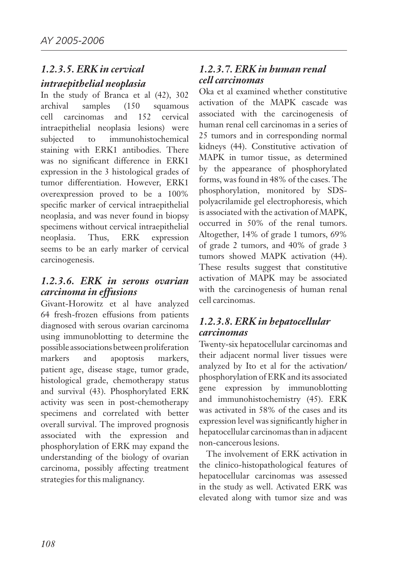#### *1.2.3.5. ERK in cervical intraepithelial neoplasia*

In the study of Branca et al (42), 302 archival samples (150 squamous cell carcinomas and 152 cervical intraepithelial neoplasia lesions) were subjected to immunohistochemical staining with ERK1 antibodies. There was no significant difference in ERK1 expression in the 3 histological grades of tumor differentiation. However, ERK1 overexpression proved to be a 100% specific marker of cervical intraepithelial neoplasia, and was never found in biopsy specimens without cervical intraepithelial neoplasia. Thus, ERK expression seems to be an early marker of cervical carcinogenesis.

#### *1.2.3.6. ERK in serous ovarian carcinoma in effusions*

Givant-Horowitz et al have analyzed 64 fresh-frozen effusions from patients diagnosed with serous ovarian carcinoma using immunoblotting to determine the possible associations between proliferation markers and apoptosis markers, patient age, disease stage, tumor grade, histological grade, chemotherapy status and survival (43). Phosphorylated ERK activity was seen in post-chemotherapy specimens and correlated with better overall survival. The improved prognosis associated with the expression and phosphorylation of ERK may expand the understanding of the biology of ovarian carcinoma, possibly affecting treatment strategies for this malignancy.

#### *1.2.3.7. ERK in human renal cell carcinomas*

Oka et al examined whether constitutive activation of the MAPK cascade was associated with the carcinogenesis of human renal cell carcinomas in a series of 25 tumors and in corresponding normal kidneys (44). Constitutive activation of MAPK in tumor tissue, as determined by the appearance of phosphorylated forms, was found in 48% of the cases. The phosphorylation, monitored by SDSpolyacrilamide gel electrophoresis, which is associated with the activation of MAPK, occurred in 50% of the renal tumors. Altogether, 14% of grade 1 tumors, 69% of grade 2 tumors, and 40% of grade 3 tumors showed MAPK activation (44). These results suggest that constitutive activation of MAPK may be associated with the carcinogenesis of human renal cell carcinomas.

#### *1.2.3.8. ERK in hepatocellular carcinomas*

Twenty-six hepatocellular carcinomas and their adjacent normal liver tissues were analyzed by Ito et al for the activation/ phosphorylation of ERK and its associated gene expression by immunoblotting and immunohistochemistry (45). ERK was activated in 58% of the cases and its expression level was significantly higher in hepatocellular carcinomas than in adjacent non-cancerous lesions.

The involvement of ERK activation in the clinico-histopathological features of hepatocellular carcinomas was assessed in the study as well. Activated ERK was elevated along with tumor size and was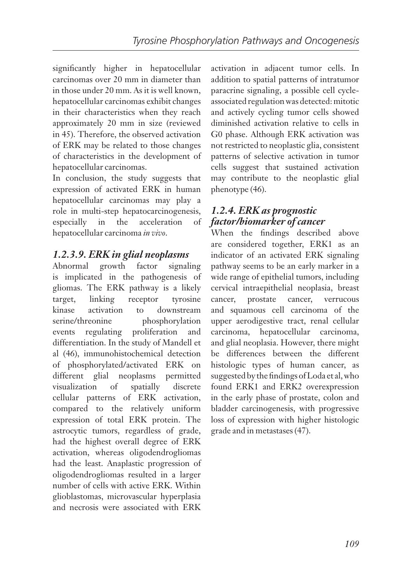significantly higher in hepatocellular carcinomas over 20 mm in diameter than in those under 20 mm. As it is well known, hepatocellular carcinomas exhibit changes in their characteristics when they reach approximately 20 mm in size (reviewed in 45). Therefore, the observed activation of ERK may be related to those changes of characteristics in the development of hepatocellular carcinomas.

In conclusion, the study suggests that expression of activated ERK in human hepatocellular carcinomas may play a role in multi-step hepatocarcinogenesis, especially in the acceleration of hepatocellular carcinoma *in vivo*.

#### *1.2.3.9. ERK in glial neoplasms*

Abnormal growth factor signaling is implicated in the pathogenesis of gliomas. The ERK pathway is a likely target, linking receptor tyrosine kinase activation to downstream serine/threonine phosphorylation events regulating proliferation and differentiation. In the study of Mandell et al (46), immunohistochemical detection of phosphorylated/activated ERK on different glial neoplasms permitted visualization of spatially discrete cellular patterns of ERK activation, compared to the relatively uniform expression of total ERK protein. The astrocytic tumors, regardless of grade, had the highest overall degree of ERK activation, whereas oligodendrogliomas had the least. Anaplastic progression of oligodendrogliomas resulted in a larger number of cells with active ERK. Within glioblastomas, microvascular hyperplasia and necrosis were associated with ERK

activation in adjacent tumor cells. In addition to spatial patterns of intratumor paracrine signaling, a possible cell cycleassociated regulation was detected: mitotic and actively cycling tumor cells showed diminished activation relative to cells in G0 phase. Although ERK activation was not restricted to neoplastic glia, consistent patterns of selective activation in tumor cells suggest that sustained activation may contribute to the neoplastic glial phenotype (46).

#### *1.2.4. ERK as prognostic factor/biomarker of cancer*

When the findings described above are considered together, ERK1 as an indicator of an activated ERK signaling pathway seems to be an early marker in a wide range of epithelial tumors, including cervical intraepithelial neoplasia, breast cancer, prostate cancer, verrucous and squamous cell carcinoma of the upper aerodigestive tract, renal cellular carcinoma, hepatocellular carcinoma, and glial neoplasia. However, there might be differences between the different histologic types of human cancer, as suggested by the findings of Loda et al, who found ERK1 and ERK2 overexpression in the early phase of prostate, colon and bladder carcinogenesis, with progressive loss of expression with higher histologic grade and in metastases (47).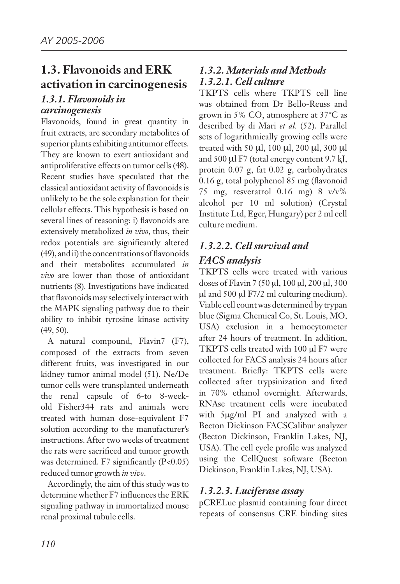## **1.3. Flavonoids and ERK activation in carcinogenesis**

#### *1.3.1. Flavonoids in carcinogenesis*

Flavonoids, found in great quantity in fruit extracts, are secondary metabolites of superior plants exhibiting antitumor effects. They are known to exert antioxidant and antiproliferative effects on tumor cells (48). Recent studies have speculated that the classical antioxidant activity of flavonoids is unlikely to be the sole explanation for their cellular effects. This hypothesis is based on several lines of reasoning: i) flavonoids are extensively metabolized *in vivo*, thus, their redox potentials are significantly altered (49), and ii) the concentrations of flavonoids and their metabolites accumulated *in vivo* are lower than those of antioxidant nutrients (8). Investigations have indicated that flavonoids may selectively interact with the MAPK signaling pathway due to their ability to inhibit tyrosine kinase activity (49, 50).

A natural compound, Flavin7 (F7), composed of the extracts from seven different fruits, was investigated in our kidney tumor animal model (51). Ne/De tumor cells were transplanted underneath the renal capsule of 6-to 8-weekold Fisher344 rats and animals were treated with human dose-equivalent F7 solution according to the manufacturer's instructions. After two weeks of treatment the rats were sacrificed and tumor growth was determined. F7 significantly (P<0.05) reduced tumor growth *in vivo*.

Accordingly, the aim of this study was to determine whether F7 influences the ERK signaling pathway in immortalized mouse renal proximal tubule cells.

#### *1.3.2. Materials and Methods 1.3.2.1. Cell culture*

TKPTS cells where TKPTS cell line was obtained from Dr Bello-Reuss and grown in 5%  $CO<sub>2</sub>$  atmosphere at 37°C as described by di Mari *et al.* (52). Parallel sets of logarithmically growing cells were treated with 50 µl, 100 µl, 200 µl, 300 µl and 500 µl F7 (total energy content 9.7 kJ, protein 0.07 g, fat 0.02 g, carbohydrates 0.16 g, total polyphenol 85 mg (flavonoid 75 mg, resveratrol 0.16 mg) 8 v/v% alcohol per 10 ml solution) (Crystal Institute Ltd, Eger, Hungary) per 2 ml cell culture medium.

### *1.3.2.2. Cell survival and FACS analysis*

TKPTS cells were treated with various doses of Flavin 7 (50 µl, 100 µl, 200 µl, 300 µl and 500 µl F7/2 ml culturing medium). Viable cell count was determined by trypan blue (Sigma Chemical Co, St. Louis, MO, USA) exclusion in a hemocytometer after 24 hours of treatment. In addition, TKPTS cells treated with 100 µl F7 were collected for FACS analysis 24 hours after treatment. Briefly: TKPTS cells were collected after trypsinization and fixed in 70% ethanol overnight. Afterwards, RNAse treatment cells were incubated with 5µg/ml PI and analyzed with a Becton Dickinson FACSCalibur analyzer (Becton Dickinson, Franklin Lakes, NJ, USA). The cell cycle profile was analyzed using the CellQuest software (Becton Dickinson, Franklin Lakes, NJ, USA).

#### *1.3.2.3. Luciferase assay*

pCRELuc plasmid containing four direct repeats of consensus CRE binding sites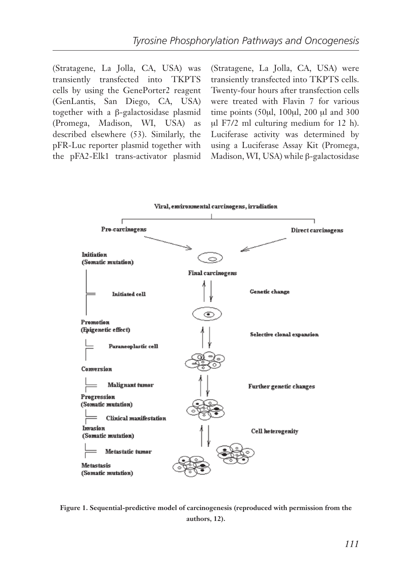(Stratagene, La Jolla, CA, USA) was transiently transfected into TKPTS cells by using the GenePorter2 reagent (GenLantis, San Diego, CA, USA) together with a β-galactosidase plasmid (Promega, Madison, WI, USA) as described elsewhere (53). Similarly, the pFR-Luc reporter plasmid together with the pFA2-Elk1 trans-activator plasmid

(Stratagene, La Jolla, CA, USA) were transiently transfected into TKPTS cells. Twenty-four hours after transfection cells were treated with Flavin 7 for various time points (50µl, 100µl, 200 µl and 300 µl F7/2 ml culturing medium for 12 h). Luciferase activity was determined by using a Luciferase Assay Kit (Promega, Madison, WI, USA) while β-galactosidase



**Figure 1. Sequential-predictive model of carcinogenesis (reproduced with permission from the authors, 12).**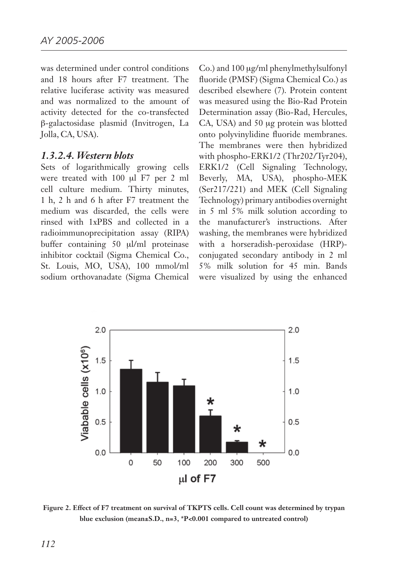was determined under control conditions and 18 hours after F7 treatment. The relative luciferase activity was measured and was normalized to the amount of activity detected for the co-transfected β-galactosidase plasmid (Invitrogen, La Jolla, CA, USA).

#### *1.3.2.4. Western blots*

Sets of logarithmically growing cells were treated with 100 µl F7 per 2 ml cell culture medium. Thirty minutes, 1 h, 2 h and 6 h after F7 treatment the medium was discarded, the cells were rinsed with 1xPBS and collected in a radioimmunoprecipitation assay (RIPA) buffer containing 50 µl/ml proteinase inhibitor cocktail (Sigma Chemical Co., St. Louis, MO, USA), 100 mmol/ml sodium orthovanadate (Sigma Chemical Co.) and 100 µg/ml phenylmethylsulfonyl fluoride (PMSF) (Sigma Chemical Co.) as described elsewhere (7). Protein content was measured using the Bio-Rad Protein Determination assay (Bio-Rad, Hercules, CA, USA) and 50 µg protein was blotted onto polyvinylidine fluoride membranes. The membranes were then hybridized with phospho-ERK1/2 (Thr202/Tyr204), ERK1/2 (Cell Signaling Technology, Beverly, MA, USA), phospho-MEK (Ser217/221) and MEK (Cell Signaling Technology) primary antibodies overnight in 5 ml 5% milk solution according to the manufacturer's instructions. After washing, the membranes were hybridized with a horseradish-peroxidase (HRP) conjugated secondary antibody in 2 ml 5% milk solution for 45 min. Bands were visualized by using the enhanced



**Figure 2. Effect of F7 treatment on survival of TKPTS cells. Cell count was determined by trypan blue exclusion (mean±S.D., n=3, \*P<0.001 compared to untreated control)**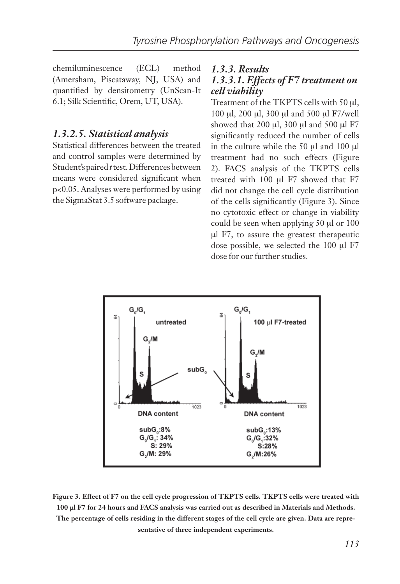chemiluminescence (ECL) method (Amersham, Piscataway, NJ, USA) and quantified by densitometry (UnScan-It 6.1; Silk Scientific, Orem, UT, USA).

#### *1.3.2.5. Statistical analysis*

Statistical differences between the treated and control samples were determined by Student's paired *t* test. Differences between means were considered significant when p<0.05. Analyses were performed by using the SigmaStat 3.5 software package.

#### *1.3.3. Results*

#### *1.3.3.1. Effects of F7 treatment on cell viability*

Treatment of the TKPTS cells with 50 µl, 100 µl, 200 µl, 300 µl and 500 µl F7/well showed that 200  $\mu$ l, 300  $\mu$ l and 500  $\mu$ l F7 significantly reduced the number of cells in the culture while the 50 µl and 100 µl treatment had no such effects (Figure 2). FACS analysis of the TKPTS cells treated with 100 µl F7 showed that F7 did not change the cell cycle distribution of the cells significantly (Figure 3). Since no cytotoxic effect or change in viability could be seen when applying 50 µl or 100 µl F7, to assure the greatest therapeutic dose possible, we selected the 100 µl F7 dose for our further studies.



**Figure 3. Effect of F7 on the cell cycle progression of TKPTS cells. TKPTS cells were treated with 100 µl F7 for 24 hours and FACS analysis was carried out as described in Materials and Methods. The percentage of cells residing in the different stages of the cell cycle are given. Data are representative of three independent experiments.**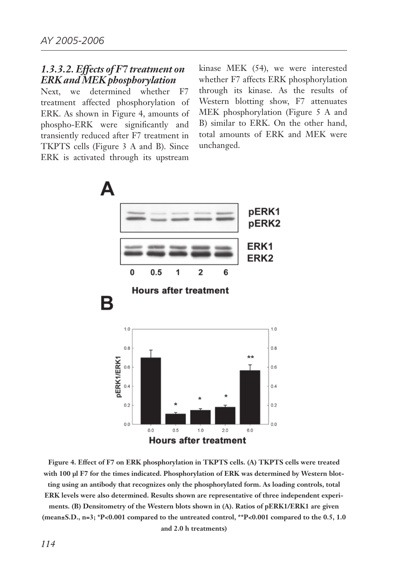#### *1.3.3.2. Effects of F7 treatment on ERK and MEK phosphorylation*

Next, we determined whether F7 treatment affected phosphorylation of ERK. As shown in Figure 4, amounts of phospho-ERK were significantly and transiently reduced after F7 treatment in TKPTS cells (Figure 3 A and B). Since ERK is activated through its upstream

kinase MEK (54), we were interested whether F7 affects ERK phosphorylation through its kinase. As the results of Western blotting show, F7 attenuates MEK phosphorylation (Figure 5 A and B) similar to ERK. On the other hand, total amounts of ERK and MEK were unchanged.



**Figure 4. Effect of F7 on ERK phosphorylation in TKPTS cells. (A) TKPTS cells were treated with 100 µl F7 for the times indicated. Phosphorylation of ERK was determined by Western blotting using an antibody that recognizes only the phosphorylated form. As loading controls, total ERK levels were also determined. Results shown are representative of three independent experiments. (B) Densitometry of the Western blots shown in (A). Ratios of pERK1/ERK1 are given (mean±S.D., n=3; \*P<0.001 compared to the untreated control, \*\*P<0.001 compared to the 0.5, 1.0 and 2.0 h treatments)**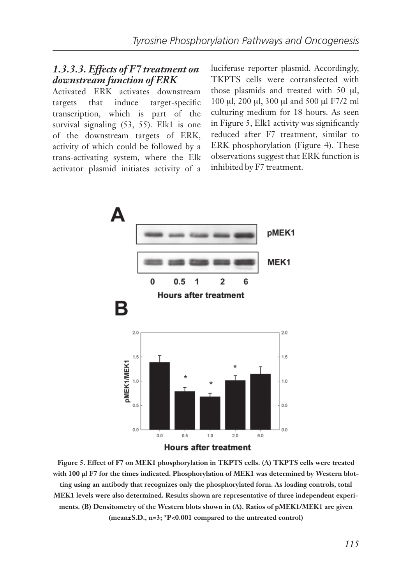#### *1.3.3.3. Effects of F7 treatment on downstream function of ERK*

Activated ERK activates downstream targets that induce target-specific transcription, which is part of the survival signaling (53, 55). Elk1 is one of the downstream targets of ERK, activity of which could be followed by a trans-activating system, where the Elk activator plasmid initiates activity of a luciferase reporter plasmid. Accordingly, TKPTS cells were cotransfected with those plasmids and treated with 50 µl, 100 µl, 200 µl, 300 µl and 500 µl F7/2 ml culturing medium for 18 hours. As seen in Figure 5, Elk1 activity was significantly reduced after F7 treatment, similar to ERK phosphorylation (Figure 4). These observations suggest that ERK function is inhibited by F7 treatment.



**Figure 5. Effect of F7 on MEK1 phosphorylation in TKPTS cells. (A) TKPTS cells were treated with 100 µl F7 for the times indicated. Phosphorylation of MEK1 was determined by Western blotting using an antibody that recognizes only the phosphorylated form. As loading controls, total MEK1 levels were also determined. Results shown are representative of three independent experiments. (B) Densitometry of the Western blots shown in (A). Ratios of pMEK1/MEK1 are given (mean±S.D., n=3; \*P<0.001 compared to the untreated control)**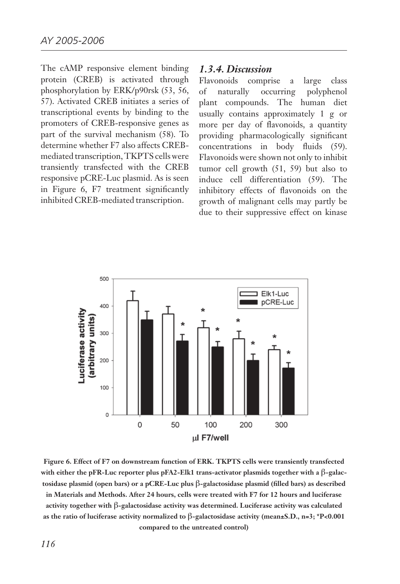The cAMP responsive element binding protein (CREB) is activated through phosphorylation by ERK/p90rsk (53, 56, 57). Activated CREB initiates a series of transcriptional events by binding to the promoters of CREB-responsive genes as part of the survival mechanism (58). To determine whether F7 also affects CREBmediated transcription, TKPTS cells were transiently transfected with the CREB responsive pCRE-Luc plasmid. As is seen in Figure 6, F7 treatment significantly inhibited CREB-mediated transcription.

#### *1.3.4. Discussion*

Flavonoids comprise a large class of naturally occurring polyphenol plant compounds. The human diet usually contains approximately 1 g or more per day of flavonoids, a quantity providing pharmacologically significant concentrations in body fluids (59). Flavonoids were shown not only to inhibit tumor cell growth (51, 59) but also to induce cell differentiation (59). The inhibitory effects of flavonoids on the growth of malignant cells may partly be due to their suppressive effect on kinase



**Figure 6. Effect of F7 on downstream function of ERK. TKPTS cells were transiently transfected**  with either the pFR-Luc reporter plus pFA2-Elk1 trans-activator plasmids together with a  $\beta$ -galac**tosidase plasmid (open bars) or a pCRE-Luc plus** b**-galactosidase plasmid (filled bars) as described in Materials and Methods. After 24 hours, cells were treated with F7 for 12 hours and luciferase activity together with** b**-galactosidase activity was determined. Luciferase activity was calculated as the ratio of luciferase activity normalized to** b**-galactosidase activity (mean±S.D., n=3; \*P<0.001 compared to the untreated control)**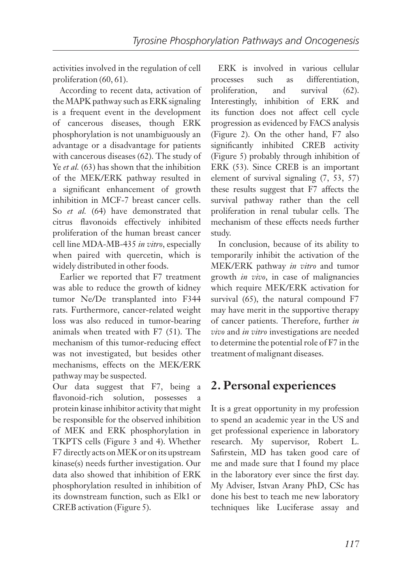activities involved in the regulation of cell proliferation (60, 61).

According to recent data, activation of the MAPK pathway such as ERK signaling is a frequent event in the development of cancerous diseases, though ERK phosphorylation is not unambiguously an advantage or a disadvantage for patients with cancerous diseases (62). The study of Ye *et al.* (63) has shown that the inhibition of the MEK/ERK pathway resulted in a significant enhancement of growth inhibition in MCF-7 breast cancer cells. So *et al.* (64) have demonstrated that citrus flavonoids effectively inhibited proliferation of the human breast cancer cell line MDA-MB-435 *in vitro*, especially when paired with quercetin, which is widely distributed in other foods.

Earlier we reported that F7 treatment was able to reduce the growth of kidney tumor Ne/De transplanted into F344 rats. Furthermore, cancer-related weight loss was also reduced in tumor-bearing animals when treated with F7 (51). The mechanism of this tumor-reducing effect was not investigated, but besides other mechanisms, effects on the MEK/ERK pathway may be suspected.

Our data suggest that F7, being a flavonoid-rich solution, possesses protein kinase inhibitor activity that might be responsible for the observed inhibition of MEK and ERK phosphorylation in TKPTS cells (Figure 3 and 4). Whether F7 directly acts on MEK or on its upstream kinase(s) needs further investigation. Our data also showed that inhibition of ERK phosphorylation resulted in inhibition of its downstream function, such as Elk1 or CREB activation (Figure 5).

ERK is involved in various cellular processes such as differentiation, proliferation, and survival (62). Interestingly, inhibition of ERK and its function does not affect cell cycle progression as evidenced by FACS analysis (Figure 2). On the other hand, F7 also significantly inhibited CREB activity (Figure 5) probably through inhibition of ERK (53). Since CREB is an important element of survival signaling (7, 53, 57) these results suggest that F7 affects the survival pathway rather than the cell proliferation in renal tubular cells. The mechanism of these effects needs further study.

In conclusion, because of its ability to temporarily inhibit the activation of the MEK/ERK pathway *in vitro* and tumor growth *in vivo*, in case of malignancies which require MEK/ERK activation for survival (65), the natural compound F7 may have merit in the supportive therapy of cancer patients. Therefore, further *in vivo* and *in vitro* investigations are needed to determine the potential role of F7 in the treatment of malignant diseases.

## **2. Personal experiences**

It is a great opportunity in my profession to spend an academic year in the US and get professional experience in laboratory research. My supervisor, Robert L. Safirstein, MD has taken good care of me and made sure that I found my place in the laboratory ever since the first day. My Adviser, Istvan Arany PhD, CSc has done his best to teach me new laboratory techniques like Luciferase assay and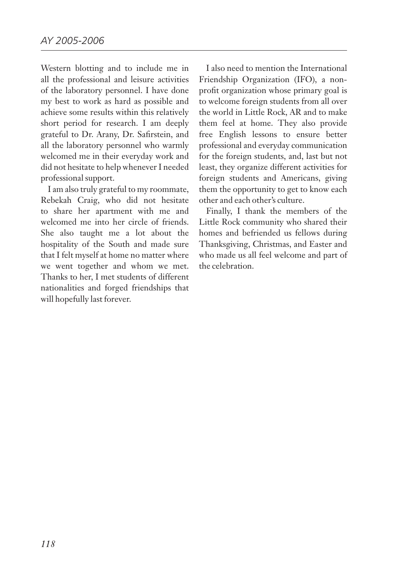Western blotting and to include me in all the professional and leisure activities of the laboratory personnel. I have done my best to work as hard as possible and achieve some results within this relatively short period for research. I am deeply grateful to Dr. Arany, Dr. Safirstein, and all the laboratory personnel who warmly welcomed me in their everyday work and did not hesitate to help whenever I needed professional support.

I am also truly grateful to my roommate, Rebekah Craig, who did not hesitate to share her apartment with me and welcomed me into her circle of friends. She also taught me a lot about the hospitality of the South and made sure that I felt myself at home no matter where we went together and whom we met. Thanks to her, I met students of different nationalities and forged friendships that will hopefully last forever.

I also need to mention the International Friendship Organization (IFO), a nonprofit organization whose primary goal is to welcome foreign students from all over the world in Little Rock, AR and to make them feel at home. They also provide free English lessons to ensure better professional and everyday communication for the foreign students, and, last but not least, they organize different activities for foreign students and Americans, giving them the opportunity to get to know each other and each other's culture.

Finally, I thank the members of the Little Rock community who shared their homes and befriended us fellows during Thanksgiving, Christmas, and Easter and who made us all feel welcome and part of the celebration.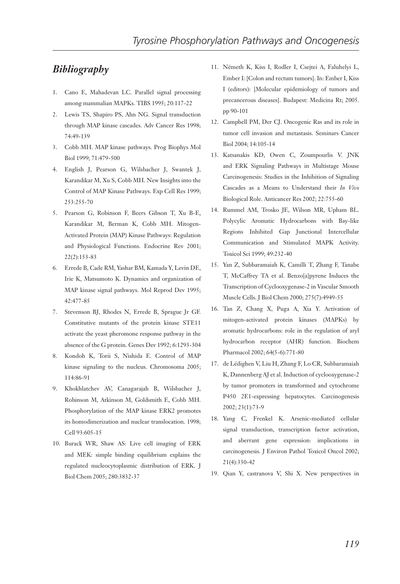#### *Bibliography*

- 1. Cano E, Mahadevan LC. Parallel signal processing among mammalian MAPKs. TIBS 1995; 20:117-22
- 2. Lewis TS, Shapiro PS, Ahn NG. Signal transduction through MAP kinase cascades. Adv Cancer Res 1998; 74:49-139
- 3. Cobb MH. MAP kinase pathways. Prog Biophys Mol Biol 1999; 71:479-500
- 4. English J, Pearson G, Wilsbacher J, Swantek J, Karandikar M, Xu S, Cobb MH. New Insights into the Control of MAP Kinase Pathways. Exp Cell Res 1999; 253:255-70
- 5. Pearson G, Robinson F, Beers Gibson T, Xu B-E, Karandikar M, Berman K, Cobb MH. Mitogen-Activated Protein (MAP) Kinase Pathways: Regulation and Physiological Functions. Endocrine Rev 2001; 22(2):153-83
- 6. Errede B, Cade RM, Yashar BM, Kamada Y, Levin DE, Irie K, Matsumoto K. Dynamics and organization of MAP kinase signal pathways. Mol Reprod Dev 1995; 42:477-85
- 7. Stevenson BJ, Rhodes N, Errede B, Sprague Jr GF. Constitutive mutants of the protein kinase STE11 activate the yeast pheromone response pathway in the absence of the G protein. Genes Dev 1992; 6:1293-304
- 8. Kondoh K, Torii S, Nishida E. Control of MAP kinase signaling to the nucleus. Chromosoma 2005; 114:86-91
- 9. Khokhlatchev AV, Canagarajah B, Wilsbacher J, Robinson M, Atkinson M, Goldsmith E, Cobb MH. Phosphorylation of the MAP kinase ERK2 promotes its homodimerization and nuclear translocation. 1998; Cell 93:605-15
- 10. Burack WR, Shaw AS: Live cell imaging of ERK and MEK: simple binding equilibrium explains the regulated nucleocytoplasmic distribution of ERK. J Biol Chem 2005; 280:3832-37
- 11. Németh K, Kiss I, Rodler I, Csejtei A, Faluhelyi L, Ember I: [Colon and rectum tumors]. In: Ember I, Kiss I (editors): [Molecular epidemiology of tumors and precancerous diseases]. Budapest: Medicina Rt; 2005. pp 90-101
- 12. Campbell PM, Der CJ. Oncogenic Ras and its role in tumor cell invasion and metastasis. Seminars Cancer Biol 2004; 14:105-14
- 13. Katsanakis KD, Owen C, Zoumpourlis V. JNK and ERK Signaling Pathways in Multistage Mouse Carcinogenesis: Studies in the Inhibition of Signaling Cascades as a Means to Understand their *In Vivo* Biological Role. Anticancer Res 2002; 22:755-60
- 14. Rummel AM, Trosko JE, Wilson MR, Upham BL. Polycylic Aromatic Hydrocarbons with Bay-like Regions Inhibited Gap Junctional Intercellular Communication and Stimulated MAPK Activity. Toxicol Sci 1999; 49:232-40
- 15. Yan Z, Subbaramaiah K, Camilli T, Zhang F, Tanabe T, McCaffrey TA et al. Benzo[a]pyrene Induces the Transcription of Cyclooxygenase-2 in Vascular Smooth Muscle Cells. J Biol Chem 2000; 275(7):4949-55
- 16. Tan Z, Chang X, Puga A, Xia Y. Activation of mitogen-activated protein kinases (MAPKs) by aromatic hydrocarbons: role in the regulation of aryl hydrocarbon receptor (AHR) function. Biochem Pharmacol 2002; 64(5-6):771-80
- 17. de Lédighen V, Liu H, Zhang F, Lo CR, Subbaramaiah K, Dannenberg AJ et al. Induction of cyclooxygenase-2 by tumor promoters in transformed and cytochrome P450 2E1-expressing hepatocytes. Carcinogenesis 2002; 23(1):73-9
- 18. Yang C, Frenkel K. Arsenic-mediated cellular signal transduction, transcription factor activation, and aberrant gene expression: implications in carcinogenesis. J Environ Pathol Toxicol Oncol 2002; 21(4):330-42
- 19. Qian Y, castranova V, Shi X. New perspectives in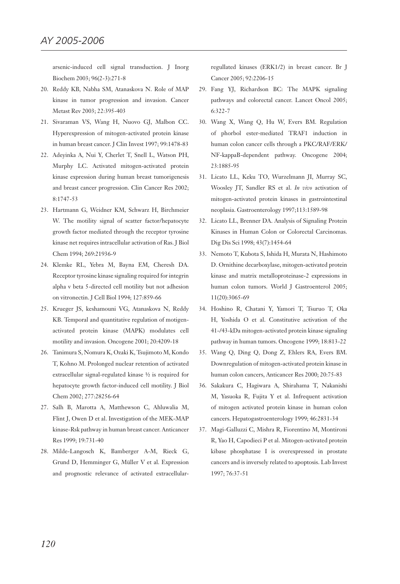arsenic-induced cell signal transduction. J Inorg Biochem 2003; 96(2-3):271-8

- 20. Reddy KB, Nabha SM, Atanaskova N. Role of MAP kinase in tumor progression and invasion. Cancer Metast Rev 2003; 22:395-403
- 21. Sivaraman VS, Wang H, Nuovo GJ, Malbon CC. Hyperexpression of mitogen-activated protein kinase in human breast cancer. J Clin Invest 1997; 99:1478-83
- 22. Adeyinka A, Nui Y, Cherlet T, Snell L, Watson PH, Murphy LC. Activated mitogen-activated protein kinase expression during human breast tumorigenesis and breast cancer progression. Clin Cancer Res 2002; 8:1747-53
- 23. Hartmann G, Weidner KM, Schwarz H, Birchmeier W. The motility signal of scatter factor/hepatocyte growth factor mediated through the receptor tyrosine kinase net requires intracellular activation of Ras. J Biol Chem 1994; 269:21936-9
- 24. Klemke RL, Yebra M, Bayna EM, Cheresh DA. Receptor tyrosine kinase signaling required for integrin alpha v beta 5-directed cell motility but not adhesion on vitronectin. J Cell Biol 1994; 127:859-66
- 25. Krueger JS, keshamouni VG, Atanaskova N, Reddy KB. Temporal and quantitative regulation of motigenactivated protein kinase (MAPK) modulates cell motility and invasion. Oncogene 2001; 20:4209-18
- 26. Tanimura S, Nomura K, Ozaki K, Tsujimoto M, Kondo T, Kohno M. Prolonged nuclear retention of activated extracellular signal-regulated kinase ½ is required for hepatocyte growth factor-induced cell motility. J Biol Chem 2002; 277:28256-64
- 27. Salh B, Marotta A, Matthewson C, Ahluwalia M, Flint J, Owen D et al. Investigation of the MEK-MAP kinase-Rsk pathway in human breast cancer. Anticancer Res 1999; 19:731-40
- 28. Milde-Langosch K, Bamberger A-M, Rieck G, Grund D, Hemminger G, Müller V et al. Expression and prognostic relevance of activated extracellular-

regullated kinases (ERK1/2) in breast cancer. Br J Cancer 2005; 92:2206-15

- 29. Fang YJ, Richardson BC: The MAPK signaling pathways and colorectal cancer. Lancet Oncol 2005; 6:322-7
- 30. Wang X, Wang Q, Hu W, Evers BM. Regulation of phorbol ester-mediated TRAF1 induction in human colon cancer cells through a PKC/RAF/ERK/ NF-kappaB-dependent pathway. Oncogene 2004; 23:1885-95
- 31. Licato LL, Keku TO, Wurzelmann JI, Murray SC, Woosley JT, Sandler RS et al. *In vivo* activation of mitogen-activated protein kinases in gastrointestinal neoplasia. Gastroenterology 1997;113:1589-98
- 32. Licato LL, Brenner DA. Analysis of Signaling Protein Kinases in Human Colon or Colorectal Carcinomas. Dig Dis Sci 1998; 43(7):1454-64
- 33. Nemoto T, Kubota S, Ishida H, Murata N, Hashimoto D. Ornithine decarboxylase, mitogen-activated protein kinase and matrix metalloproteinase-2 expressions in human colon tumors. World J Gastroenterol 2005; 11(20):3065-69
- 34. Hoshino R, Chatani Y, Yamori T, Tsuruo T, Oka H, Yoshida O et al. Constitutive activation of the 41-/43-kDa mitogen-activated protein kinase signaling pathway in human tumors. Oncogene 1999; 18:813-22
- 35. Wang Q, Ding Q, Dong Z, Ehlers RA, Evers BM. Downregulation of mitogen-activated protein kinase in human colon cancers, Anticancer Res 2000; 20:75-83
- 36. Sakakura C, Hagiwara A, Shirahama T, Nakanishi M, Yasuoka R, Fujita Y et al. Infrequent activation of mitogen activated protein kinase in human colon cancers. Hepatogastroenterology 1999; 46:2831-34
- 37. Magi-Galluzzi C, Mishra R, Fiorentino M, Montironi R, Yao H, Capodieci P et al. Mitogen-activated protein kibase phosphatase I is overexpressed in prostate cancers and is inversely related to apoptosis. Lab Invest 1997; 76:37-51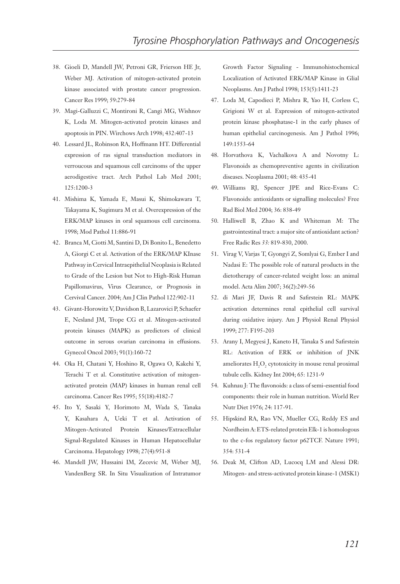- 38. Gioeli D, Mandell JW, Petroni GR, Frierson HE Jr, Weber MJ. Activation of mitogen-activated protein kinase associated with prostate cancer progression. Cancer Res 1999; 59:279-84
- 39. Magi-Galluzzi C, Montironi R, Cangi MG, Wishnov K, Loda M. Mitogen-activated protein kinases and apoptosis in PIN. Wirchows Arch 1998; 432:407-13
- 40. Lessard JL, Robinson RA, Hoffmann HT. Differential expression of ras signal transduction mediators in verroucous and squamous cell carcinoms of the upper aerodigestive tract. Arch Pathol Lab Med 2001; 125:1200-3
- 41. Mishima K, Yamada E, Masui K, Shimokawara T, Takayama K, Sugimura M et al. Overexpression of the ERK/MAP kinases in oral squamous cell carcinoma. 1998; Mod Pathol 11:886-91
- 42. Branca M, Ciotti M, Santini D, Di Bonito L, Benedetto A, Giorgi C et al. Activation of the ERK/MAP KInase Pathway in Cervical Intraepithelial Neoplasia is Related to Grade of the Lesion but Not to High-Risk Human Papillomavirus, Virus Clearance, or Prognosis in Cervival Cancer. 2004; Am J Clin Pathol 122:902-11
- 43. Givant-Horowitz V, Davidson B, Lazarovici P, Schaefer E, Nesland JM, Trope CG et al. Mitogen-activated protein kinases (MAPK) as predictors of clinical outcome in serous ovarian carcinoma in effusions. Gynecol Oncol 2003; 91(1):160-72
- 44. Oka H, Chatani Y, Hoshino R, Ogawa O, Kakehi Y, Terachi T et al. Constitutive activation of mitogenactivated protein (MAP) kinases in human renal cell carcinoma. Cancer Res 1995; 55(18):4182-7
- 45. Ito Y, Sasaki Y, Horimoto M, Wada S, Tanaka Y, Kasahara A, Ueki T et al. Activation of Mitogen-Activated Protein Kinases/Extracellular Signal-Regulated Kinases in Human Hepatocellular Carcinoma. Hepatology 1998; 27(4):951-8
- 46. Mandell JW, Hussaini IM, Zecevic M, Weber MJ, VandenBerg SR. In Situ Visualization of Intratumor

Growth Factor Signaling - Immunohistochemical Localization of Activated ERK/MAP Kinase in Glial Neoplasms. Am J Pathol 1998; 153(5):1411-23

- 47. Loda M, Capodieci P, Mishra R, Yao H, Corless C, Grigioni W et al. Expression of mitogen-activated protein kinase phosphatase-1 in the early phases of human epithelial carcinogenesis. Am J Pathol 1996; 149:1553-64
- 48. Horvathova K, Vachalkova A and Novotny L: Flavonoids as chemopreventive agents in civilization diseases. Neoplasma 2001; 48: 435-41
- 49. Williams RJ, Spencer JPE and Rice-Evans C: Flavonoids: antioxidants or signalling molecules? Free Rad Biol Med 2004; 36: 838-49
- 50. Halliwell B, Zhao K and Whiteman M: The gastrointestinal tract: a major site of antioxidant action? Free Radic Res *33:* 819-830, 2000.
- 51. Virag V, Varjas T, Gyongyi Z, Somlyai G, Ember I and Nadasi E: The possible role of natural products in the dietotherapy of cancer-related weight loss: an animal model. Acta Alim 2007; 36(2):249-56
- 52. di Mari JF, Davis R and Safirstein RL: MAPK activation determines renal epithelial cell survival during oxidative injury. Am J Physiol Renal Physiol 1999; 277: F195-203
- 53. Arany I, Megyesi J, Kaneto H, Tanaka S and Safirstein RL: Activation of ERK or inhibition of JNK ameliorates  $H_2O_2$  cytotoxicity in mouse renal proximal tubule cells. Kidney Int 2004; 65: 1231-9
- 54. Kuhnau J: The flavonoids: a class of semi-essential food components: their role in human nutrition. World Rev Nutr Diet 1976; 24: 117-91.
- 55. Hipskind RA, Rao VN, Mueller CG, Reddy ES and Nordheim A: ETS-related protein Elk-1 is homologous to the c-fos regulatory factor p62TCF. Nature 1991; 354: 531-4
- 56. Deak M, Clifton AD, Lucocq LM and Alessi DR: Mitogen- and stress-activated protein kinase-1 (MSK1)